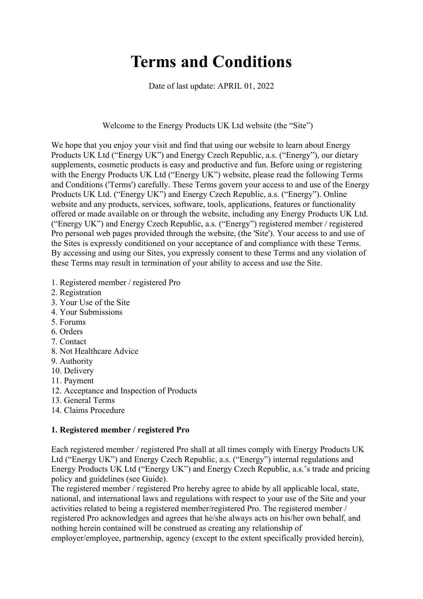# **Terms and Conditions**

Date of last update: APRIL 01, 2022

Welcome to the Energy Products UK Ltd website (the "Site")

We hope that you enjoy your visit and find that using our website to learn about Energy Products UK Ltd ("Energy UK") and Energy Czech Republic, a.s. ("Energy"), our dietary supplements, cosmetic products is easy and productive and fun. Before using or registering with the Energy Products UK Ltd ("Energy UK") website, please read the following Terms and Conditions ('Terms') carefully. These Terms govern your access to and use of the Energy Products UK Ltd. ("Energy UK") and Energy Czech Republic, a.s. ("Energy"). Online website and any products, services, software, tools, applications, features or functionality offered or made available on or through the website, including any Energy Products UK Ltd. ("Energy UK") and Energy Czech Republic, a.s. ("Energy") registered member / registered Pro personal web pages provided through the website, (the 'Site'). Your access to and use of the Sites is expressly conditioned on your acceptance of and compliance with these Terms. By accessing and using our Sites, you expressly consent to these Terms and any violation of these Terms may result in termination of your ability to access and use the Site.

- 1. Registered member / registered Pro
- 2. Registration
- 3. Your Use of the Site
- 4. Your Submissions
- 5. Forums
- 6. Orders
- 7. Contact
- 8. Not Healthcare Advice
- 9. Authority
- 10. Delivery
- 11. Payment
- 12. Acceptance and Inspection of Products
- 13. General Terms
- 14. Claims Procedure

## **1. Registered member / registered Pro**

Each registered member / registered Pro shall at all times comply with Energy Products UK Ltd ("Energy UK") and Energy Czech Republic, a.s. ("Energy") internal regulations and Energy Products UK Ltd ("Energy UK") and Energy Czech Republic, a.s.'s trade and pricing policy and guidelines (see Guide).

The registered member / registered Pro hereby agree to abide by all applicable local, state, national, and international laws and regulations with respect to your use of the Site and your activities related to being a registered member/registered Pro. The registered member / registered Pro acknowledges and agrees that he/she always acts on his/her own behalf, and nothing herein contained will be construed as creating any relationship of employer/employee, partnership, agency (except to the extent specifically provided herein),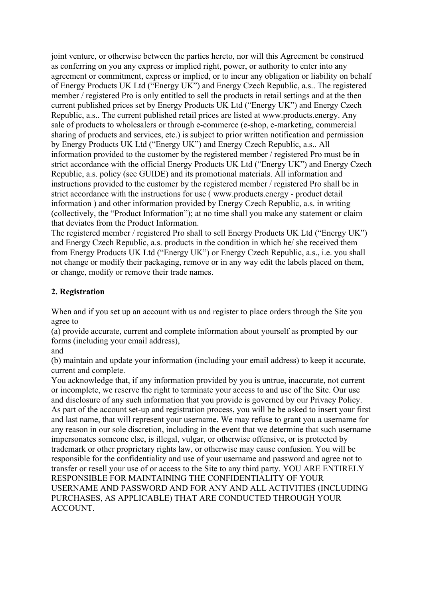joint venture, or otherwise between the parties hereto, nor will this Agreement be construed as conferring on you any express or implied right, power, or authority to enter into any agreement or commitment, express or implied, or to incur any obligation or liability on behalf of Energy Products UK Ltd ("Energy UK") and Energy Czech Republic, a.s.. The registered member / registered Pro is only entitled to sell the products in retail settings and at the then current published prices set by Energy Products UK Ltd ("Energy UK") and Energy Czech Republic, a.s.. The current published retail prices are listed at www.products.energy. Any sale of products to wholesalers or through e-commerce (e-shop, e-marketing, commercial sharing of products and services, etc.) is subject to prior written notification and permission by Energy Products UK Ltd ("Energy UK") and Energy Czech Republic, a.s.. All information provided to the customer by the registered member / registered Pro must be in strict accordance with the official Energy Products UK Ltd ("Energy UK") and Energy Czech Republic, a.s. policy (see GUIDE) and its promotional materials. All information and instructions provided to the customer by the registered member / registered Pro shall be in strict accordance with the instructions for use ( www.products.energy - product detail information ) and other information provided by Energy Czech Republic, a.s. in writing (collectively, the "Product Information"); at no time shall you make any statement or claim that deviates from the Product Information.

The registered member / registered Pro shall to sell Energy Products UK Ltd ("Energy UK") and Energy Czech Republic, a.s. products in the condition in which he/ she received them from Energy Products UK Ltd ("Energy UK") or Energy Czech Republic, a.s., i.e. you shall not change or modify their packaging, remove or in any way edit the labels placed on them, or change, modify or remove their trade names.

## **2. Registration**

When and if you set up an account with us and register to place orders through the Site you agree to

(a) provide accurate, current and complete information about yourself as prompted by our forms (including your email address),

and

(b) maintain and update your information (including your email address) to keep it accurate, current and complete.

You acknowledge that, if any information provided by you is untrue, inaccurate, not current or incomplete, we reserve the right to terminate your access to and use of the Site. Our use and disclosure of any such information that you provide is governed by our Privacy Policy. As part of the account set-up and registration process, you will be be asked to insert your first and last name, that will represent your username. We may refuse to grant you a username for any reason in our sole discretion, including in the event that we determine that such username impersonates someone else, is illegal, vulgar, or otherwise offensive, or is protected by trademark or other proprietary rights law, or otherwise may cause confusion. You will be responsible for the confidentiality and use of your username and password and agree not to transfer or resell your use of or access to the Site to any third party. YOU ARE ENTIRELY RESPONSIBLE FOR MAINTAINING THE CONFIDENTIALITY OF YOUR USERNAME AND PASSWORD AND FOR ANY AND ALL ACTIVITIES (INCLUDING PURCHASES, AS APPLICABLE) THAT ARE CONDUCTED THROUGH YOUR ACCOUNT.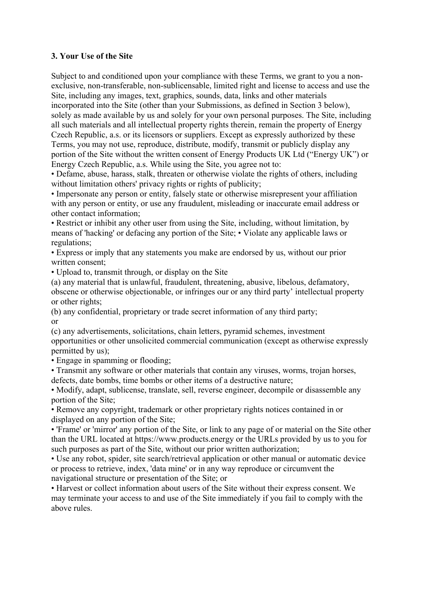#### **3. Your Use of the Site**

Subject to and conditioned upon your compliance with these Terms, we grant to you a nonexclusive, non-transferable, non-sublicensable, limited right and license to access and use the Site, including any images, text, graphics, sounds, data, links and other materials incorporated into the Site (other than your Submissions, as defined in Section 3 below), solely as made available by us and solely for your own personal purposes. The Site, including all such materials and all intellectual property rights therein, remain the property of Energy Czech Republic, a.s. or its licensors or suppliers. Except as expressly authorized by these Terms, you may not use, reproduce, distribute, modify, transmit or publicly display any portion of the Site without the written consent of Energy Products UK Ltd ("Energy UK") or Energy Czech Republic, a.s. While using the Site, you agree not to:

• Defame, abuse, harass, stalk, threaten or otherwise violate the rights of others, including without limitation others' privacy rights or rights of publicity;

• Impersonate any person or entity, falsely state or otherwise misrepresent your affiliation with any person or entity, or use any fraudulent, misleading or inaccurate email address or other contact information;

• Restrict or inhibit any other user from using the Site, including, without limitation, by means of 'hacking' or defacing any portion of the Site; • Violate any applicable laws or regulations;

• Express or imply that any statements you make are endorsed by us, without our prior written consent;

• Upload to, transmit through, or display on the Site

(a) any material that is unlawful, fraudulent, threatening, abusive, libelous, defamatory, obscene or otherwise objectionable, or infringes our or any third party' intellectual property or other rights;

(b) any confidential, proprietary or trade secret information of any third party; or

(c) any advertisements, solicitations, chain letters, pyramid schemes, investment opportunities or other unsolicited commercial communication (except as otherwise expressly permitted by us);

• Engage in spamming or flooding;

• Transmit any software or other materials that contain any viruses, worms, trojan horses, defects, date bombs, time bombs or other items of a destructive nature;

• Modify, adapt, sublicense, translate, sell, reverse engineer, decompile or disassemble any portion of the Site;

• Remove any copyright, trademark or other proprietary rights notices contained in or displayed on any portion of the Site;

• 'Frame' or 'mirror' any portion of the Site, or link to any page of or material on the Site other than the URL located at https://www.products.energy or the URLs provided by us to you for such purposes as part of the Site, without our prior written authorization;

• Use any robot, spider, site search/retrieval application or other manual or automatic device or process to retrieve, index, 'data mine' or in any way reproduce or circumvent the navigational structure or presentation of the Site; or

• Harvest or collect information about users of the Site without their express consent. We may terminate your access to and use of the Site immediately if you fail to comply with the above rules.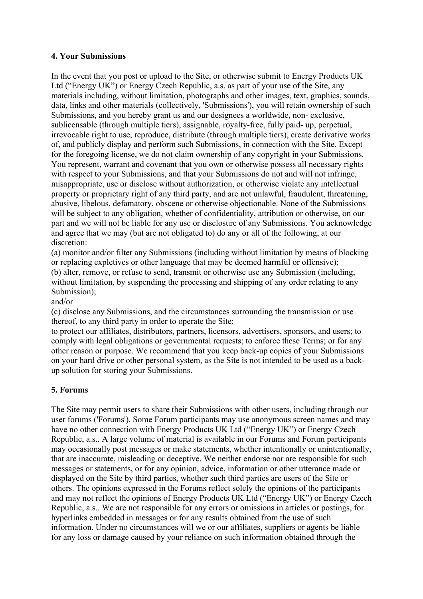### **4. Your Submissions**

In the event that you post or upload to the Site, or otherwise submit to Energy Products UK Ltd ("Energy UK") or Energy Czech Republic, a.s. as part of your use of the Site, any materials including, without limitation, photographs and other images, text, graphics, sounds, data, links and other materials (collectively, 'Submissions'), you will retain ownership of such Submissions, and you hereby grant us and our designees a worldwide, non- exclusive, sublicensable (through multiple tiers), assignable, royalty-free, fully paid- up, perpetual, irrevocable right to use, reproduce, distribute (through multiple tiers), create derivative works of, and publicly display and perform such Submissions, in connection with the Site. Except for the foregoing license, we do not claim ownership of any copyright in your Submissions. You represent, warrant and covenant that you own or otherwise possess all necessary rights with respect to your Submissions, and that your Submissions do not and will not infringe, misappropriate, use or disclose without authorization, or otherwise violate any intellectual property or proprietary right of any third party, and are not unlawful, fraudulent, threatening, abusive, libelous, defamatory, obscene or otherwise objectionable. None of the Submissions will be subject to any obligation, whether of confidentiality, attribution or otherwise, on our part and we will not be liable for any use or disclosure of any Submissions. You acknowledge and agree that we may (but are not obligated to) do any or all of the following, at our discretion:

(a) monitor and/or filter any Submissions (including without limitation by means of blocking or replacing expletives or other language that may be deemed harmful or offensive); (b) alter, remove, or refuse to send, transmit or otherwise use any Submission (including, without limitation, by suspending the processing and shipping of any order relating to any Submission);

and/or

(c) disclose any Submissions, and the circumstances surrounding the transmission or use thereof, to any third party in order to operate the Site;

to protect our affiliates, distributors, partners, licensors, advertisers, sponsors, and users; to comply with legal obligations or governmental requests; to enforce these Terms; or for any other reason or purpose. We recommend that you keep back-up copies of your Submissions on your hard drive or other personal system, as the Site is not intended to be used as a backup solution for storing your Submissions.

## **5. Forums**

The Site may permit users to share their Submissions with other users, including through our user forums ('Forums'). Some Forum participants may use anonymous screen names and may have no other connection with Energy Products UK Ltd ("Energy UK") or Energy Czech Republic, a.s.. A large volume of material is available in our Forums and Forum participants may occasionally post messages or make statements, whether intentionally or unintentionally, that are inaccurate, misleading or deceptive. We neither endorse nor are responsible for such messages or statements, or for any opinion, advice, information or other utterance made or displayed on the Site by third parties, whether such third parties are users of the Site or others. The opinions expressed in the Forums reflect solely the opinions of the participants and may not reflect the opinions of Energy Products UK Ltd ("Energy UK") or Energy Czech Republic, a.s.. We are not responsible for any errors or omissions in articles or postings, for hyperlinks embedded in messages or for any results obtained from the use of such information. Under no circumstances will we or our affiliates, suppliers or agents be liable for any loss or damage caused by your reliance on such information obtained through the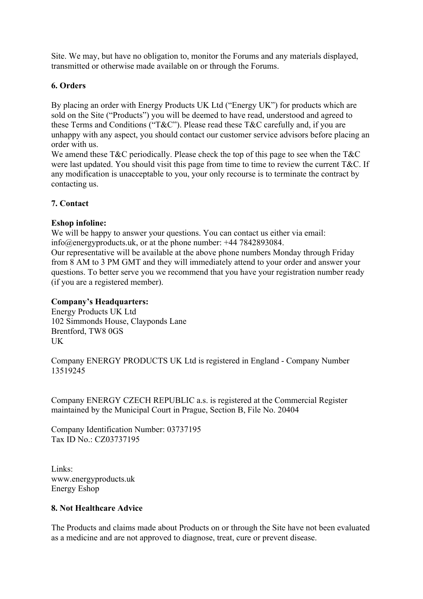Site. We may, but have no obligation to, monitor the Forums and any materials displayed, transmitted or otherwise made available on or through the Forums.

## **6. Orders**

By placing an order with Energy Products UK Ltd ("Energy UK") for products which are sold on the Site ("Products") you will be deemed to have read, understood and agreed to these Terms and Conditions ("T&C"). Please read these T&C carefully and, if you are unhappy with any aspect, you should contact our customer service advisors before placing an order with us.

We amend these T&C periodically. Please check the top of this page to see when the T&C were last updated. You should visit this page from time to time to review the current T&C. If any modification is unacceptable to you, your only recourse is to terminate the contract by contacting us.

## **7. Contact**

## **Eshop infoline:**

We will be happy to answer your questions. You can contact us either via email: info@energyproducts.uk, or at the phone number: +44 7842893084.

Our representative will be available at the above phone numbers Monday through Friday from 8 AM to 3 PM GMT and they will immediately attend to your order and answer your questions. To better serve you we recommend that you have your registration number ready (if you are a registered member).

## **Company's Headquarters:**

Energy Products UK Ltd 102 Simmonds House, Clayponds Lane Brentford, TW8 0GS UK

Company ENERGY PRODUCTS UK Ltd is registered in England - Company Number 13519245

Company ENERGY CZECH REPUBLIC a.s. is registered at the Commercial Register maintained by the Municipal Court in Prague, Section B, File No. 20404

Company Identification Number: 03737195 Tax ID No.: CZ03737195

Links: www.energyproducts.uk Energy Eshop

## **8. Not Healthcare Advice**

The Products and claims made about Products on or through the Site have not been evaluated as a medicine and are not approved to diagnose, treat, cure or prevent disease.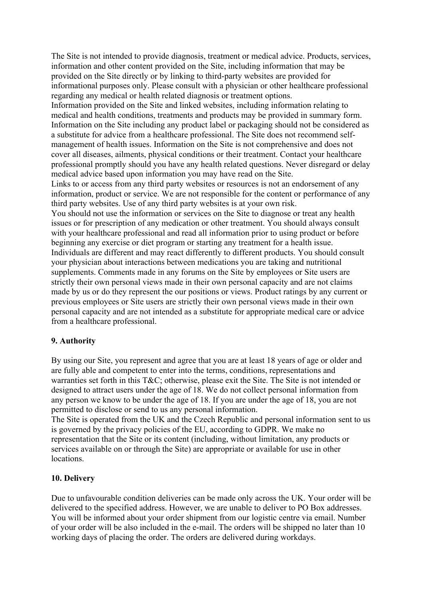The Site is not intended to provide diagnosis, treatment or medical advice. Products, services, information and other content provided on the Site, including information that may be provided on the Site directly or by linking to third-party websites are provided for informational purposes only. Please consult with a physician or other healthcare professional regarding any medical or health related diagnosis or treatment options. Information provided on the Site and linked websites, including information relating to medical and health conditions, treatments and products may be provided in summary form. Information on the Site including any product label or packaging should not be considered as a substitute for advice from a healthcare professional. The Site does not recommend selfmanagement of health issues. Information on the Site is not comprehensive and does not cover all diseases, ailments, physical conditions or their treatment. Contact your healthcare professional promptly should you have any health related questions. Never disregard or delay medical advice based upon information you may have read on the Site. Links to or access from any third party websites or resources is not an endorsement of any information, product or service. We are not responsible for the content or performance of any third party websites. Use of any third party websites is at your own risk. You should not use the information or services on the Site to diagnose or treat any health issues or for prescription of any medication or other treatment. You should always consult with your healthcare professional and read all information prior to using product or before beginning any exercise or diet program or starting any treatment for a health issue. Individuals are different and may react differently to different products. You should consult your physician about interactions between medications you are taking and nutritional supplements. Comments made in any forums on the Site by employees or Site users are strictly their own personal views made in their own personal capacity and are not claims made by us or do they represent the our positions or views. Product ratings by any current or previous employees or Site users are strictly their own personal views made in their own personal capacity and are not intended as a substitute for appropriate medical care or advice from a healthcare professional.

#### **9. Authority**

By using our Site, you represent and agree that you are at least 18 years of age or older and are fully able and competent to enter into the terms, conditions, representations and warranties set forth in this T&C; otherwise, please exit the Site. The Site is not intended or designed to attract users under the age of 18. We do not collect personal information from any person we know to be under the age of 18. If you are under the age of 18, you are not permitted to disclose or send to us any personal information.

The Site is operated from the UK and the Czech Republic and personal information sent to us is governed by the privacy policies of the EU, according to GDPR. We make no representation that the Site or its content (including, without limitation, any products or services available on or through the Site) are appropriate or available for use in other locations.

## **10. Delivery**

Due to unfavourable condition deliveries can be made only across the UK. Your order will be delivered to the specified address. However, we are unable to deliver to PO Box addresses. You will be informed about your order shipment from our logistic centre via email. Number of your order will be also included in the e-mail. The orders will be shipped no later than 10 working days of placing the order. The orders are delivered during workdays.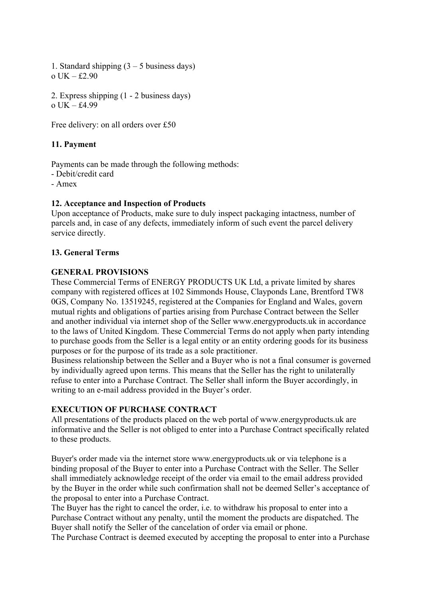1. Standard shipping  $(3 - 5)$  business days) o UK – £2.90

2. Express shipping (1 - 2 business days) o UK – £4.99

Free delivery: on all orders over £50

## **11. Payment**

Payments can be made through the following methods:

- Debit/credit card

- Amex

#### **12. Acceptance and Inspection of Products**

Upon acceptance of Products, make sure to duly inspect packaging intactness, number of parcels and, in case of any defects, immediately inform of such event the parcel delivery service directly.

#### **13. General Terms**

#### **GENERAL PROVISIONS**

These Commercial Terms of ENERGY PRODUCTS UK Ltd, a private limited by shares company with registered offices at 102 Simmonds House, Clayponds Lane, Brentford TW8 0GS, Company No. 13519245, registered at the Companies for England and Wales, govern mutual rights and obligations of parties arising from Purchase Contract between the Seller and another individual via internet shop of the Seller www.energyproducts.uk in accordance to the laws of United Kingdom. These Commercial Terms do not apply when party intending to purchase goods from the Seller is a legal entity or an entity ordering goods for its business purposes or for the purpose of its trade as a sole practitioner.

Business relationship between the Seller and a Buyer who is not a final consumer is governed by individually agreed upon terms. This means that the Seller has the right to unilaterally refuse to enter into a Purchase Contract. The Seller shall inform the Buyer accordingly, in writing to an e-mail address provided in the Buyer's order.

## **EXECUTION OF PURCHASE CONTRACT**

All presentations of the products placed on the web portal of www.energyproducts.uk are informative and the Seller is not obliged to enter into a Purchase Contract specifically related to these products.

Buyer's order made via the internet store www.energyproducts.uk or via telephone is a binding proposal of the Buyer to enter into a Purchase Contract with the Seller. The Seller shall immediately acknowledge receipt of the order via email to the email address provided by the Buyer in the order while such confirmation shall not be deemed Seller's acceptance of the proposal to enter into a Purchase Contract.

The Buyer has the right to cancel the order, i.e. to withdraw his proposal to enter into a Purchase Contract without any penalty, until the moment the products are dispatched. The Buyer shall notify the Seller of the cancelation of order via email or phone.

The Purchase Contract is deemed executed by accepting the proposal to enter into a Purchase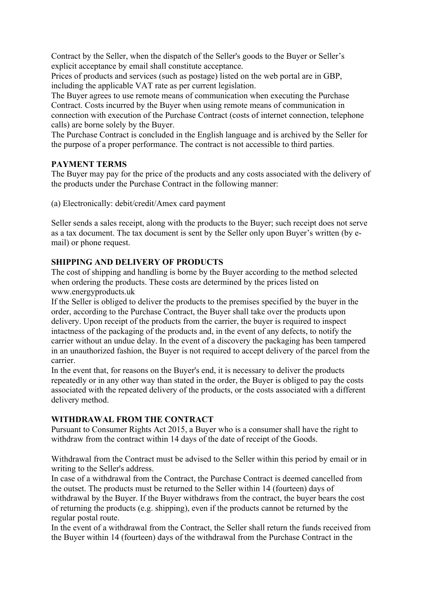Contract by the Seller, when the dispatch of the Seller's goods to the Buyer or Seller's explicit acceptance by email shall constitute acceptance.

Prices of products and services (such as postage) listed on the web portal are in GBP, including the applicable VAT rate as per current legislation.

The Buyer agrees to use remote means of communication when executing the Purchase Contract. Costs incurred by the Buyer when using remote means of communication in connection with execution of the Purchase Contract (costs of internet connection, telephone calls) are borne solely by the Buyer.

The Purchase Contract is concluded in the English language and is archived by the Seller for the purpose of a proper performance. The contract is not accessible to third parties.

## **PAYMENT TERMS**

The Buyer may pay for the price of the products and any costs associated with the delivery of the products under the Purchase Contract in the following manner:

(a) Electronically: debit/credit/Amex card payment

Seller sends a sales receipt, along with the products to the Buyer; such receipt does not serve as a tax document. The tax document is sent by the Seller only upon Buyer's written (by email) or phone request.

## **SHIPPING AND DELIVERY OF PRODUCTS**

The cost of shipping and handling is borne by the Buyer according to the method selected when ordering the products. These costs are determined by the prices listed on www.energyproducts.uk

If the Seller is obliged to deliver the products to the premises specified by the buyer in the order, according to the Purchase Contract, the Buyer shall take over the products upon delivery. Upon receipt of the products from the carrier, the buyer is required to inspect intactness of the packaging of the products and, in the event of any defects, to notify the carrier without an undue delay. In the event of a discovery the packaging has been tampered in an unauthorized fashion, the Buyer is not required to accept delivery of the parcel from the carrier.

In the event that, for reasons on the Buyer's end, it is necessary to deliver the products repeatedly or in any other way than stated in the order, the Buyer is obliged to pay the costs associated with the repeated delivery of the products, or the costs associated with a different delivery method.

## **WITHDRAWAL FROM THE CONTRACT**

Pursuant to Consumer Rights Act 2015, a Buyer who is a consumer shall have the right to withdraw from the contract within 14 days of the date of receipt of the Goods.

Withdrawal from the Contract must be advised to the Seller within this period by email or in writing to the Seller's address.

In case of a withdrawal from the Contract, the Purchase Contract is deemed cancelled from the outset. The products must be returned to the Seller within 14 (fourteen) days of withdrawal by the Buyer. If the Buyer withdraws from the contract, the buyer bears the cost of returning the products (e.g. shipping), even if the products cannot be returned by the regular postal route.

In the event of a withdrawal from the Contract, the Seller shall return the funds received from the Buyer within 14 (fourteen) days of the withdrawal from the Purchase Contract in the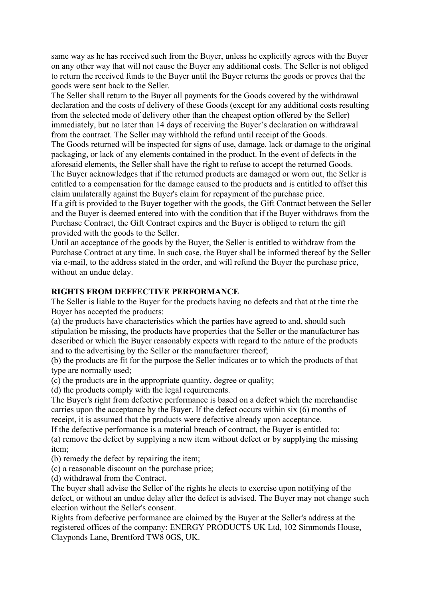same way as he has received such from the Buyer, unless he explicitly agrees with the Buyer on any other way that will not cause the Buyer any additional costs. The Seller is not obliged to return the received funds to the Buyer until the Buyer returns the goods or proves that the goods were sent back to the Seller.

The Seller shall return to the Buyer all payments for the Goods covered by the withdrawal declaration and the costs of delivery of these Goods (except for any additional costs resulting from the selected mode of delivery other than the cheapest option offered by the Seller) immediately, but no later than 14 days of receiving the Buyer's declaration on withdrawal from the contract. The Seller may withhold the refund until receipt of the Goods. The Goods returned will be inspected for signs of use, damage, lack or damage to the original

packaging, or lack of any elements contained in the product. In the event of defects in the aforesaid elements, the Seller shall have the right to refuse to accept the returned Goods. The Buyer acknowledges that if the returned products are damaged or worn out, the Seller is entitled to a compensation for the damage caused to the products and is entitled to offset this claim unilaterally against the Buyer's claim for repayment of the purchase price.

If a gift is provided to the Buyer together with the goods, the Gift Contract between the Seller and the Buyer is deemed entered into with the condition that if the Buyer withdraws from the Purchase Contract, the Gift Contract expires and the Buyer is obliged to return the gift provided with the goods to the Seller.

Until an acceptance of the goods by the Buyer, the Seller is entitled to withdraw from the Purchase Contract at any time. In such case, the Buyer shall be informed thereof by the Seller via e-mail, to the address stated in the order, and will refund the Buyer the purchase price, without an undue delay.

#### **RIGHTS FROM DEFFECTIVE PERFORMANCE**

The Seller is liable to the Buyer for the products having no defects and that at the time the Buyer has accepted the products:

(a) the products have characteristics which the parties have agreed to and, should such stipulation be missing, the products have properties that the Seller or the manufacturer has described or which the Buyer reasonably expects with regard to the nature of the products and to the advertising by the Seller or the manufacturer thereof;

(b) the products are fit for the purpose the Seller indicates or to which the products of that type are normally used;

(c) the products are in the appropriate quantity, degree or quality;

(d) the products comply with the legal requirements.

The Buyer's right from defective performance is based on a defect which the merchandise carries upon the acceptance by the Buyer. If the defect occurs within six (6) months of receipt, it is assumed that the products were defective already upon acceptance.

If the defective performance is a material breach of contract, the Buyer is entitled to: (a) remove the defect by supplying a new item without defect or by supplying the missing item;

(b) remedy the defect by repairing the item;

(c) a reasonable discount on the purchase price;

(d) withdrawal from the Contract.

The buyer shall advise the Seller of the rights he elects to exercise upon notifying of the defect, or without an undue delay after the defect is advised. The Buyer may not change such election without the Seller's consent.

Rights from defective performance are claimed by the Buyer at the Seller's address at the registered offices of the company: ENERGY PRODUCTS UK Ltd, 102 Simmonds House, Clayponds Lane, Brentford TW8 0GS, UK.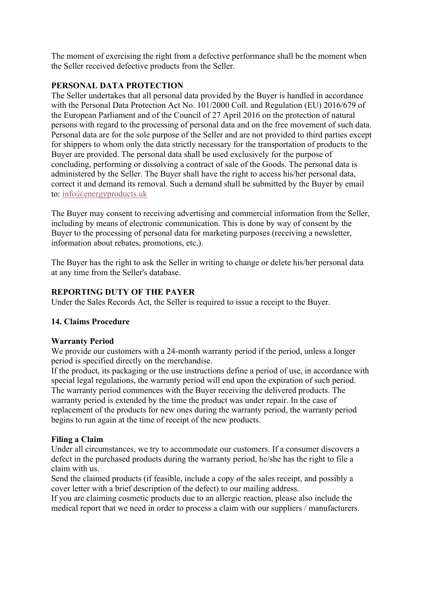The moment of exercising the right from a defective performance shall be the moment when the Seller received defective products from the Seller.

## **PERSONAL DATA PROTECTION**

The Seller undertakes that all personal data provided by the Buyer is handled in accordance with the Personal Data Protection Act No. 101/2000 Coll. and Regulation (EU) 2016/679 of the European Parliament and of the Council of 27 April 2016 on the protection of natural persons with regard to the processing of personal data and on the free movement of such data. Personal data are for the sole purpose of the Seller and are not provided to third parties except for shippers to whom only the data strictly necessary for the transportation of products to the Buyer are provided. The personal data shall be used exclusively for the purpose of concluding, performing or dissolving a contract of sale of the Goods. The personal data is administered by the Seller. The Buyer shall have the right to access his/her personal data, correct it and demand its removal. Such a demand shall be submitted by the Buyer by email to: info@energyproducts.uk

The Buyer may consent to receiving advertising and commercial information from the Seller, including by means of electronic communication. This is done by way of consent by the Buyer to the processing of personal data for marketing purposes (receiving a newsletter, information about rebates, promotions, etc.).

The Buyer has the right to ask the Seller in writing to change or delete his/her personal data at any time from the Seller's database.

## **REPORTING DUTY OF THE PAYER**

Under the Sales Records Act, the Seller is required to issue a receipt to the Buyer.

## **14. Claims Procedure**

## **Warranty Period**

We provide our customers with a 24-month warranty period if the period, unless a longer period is specified directly on the merchandise.

If the product, its packaging or the use instructions define a period of use, in accordance with special legal regulations, the warranty period will end upon the expiration of such period. The warranty period commences with the Buyer receiving the delivered products. The warranty period is extended by the time the product was under repair. In the case of replacement of the products for new ones during the warranty period, the warranty period begins to run again at the time of receipt of the new products.

## **Filing a Claim**

Under all circumstances, we try to accommodate our customers. If a consumer discovers a defect in the purchased products during the warranty period, he/she has the right to file a claim with us.

Send the claimed products (if feasible, include a copy of the sales receipt, and possibly a cover letter with a brief description of the defect) to our mailing address.

If you are claiming cosmetic products due to an allergic reaction, please also include the medical report that we need in order to process a claim with our suppliers / manufacturers.